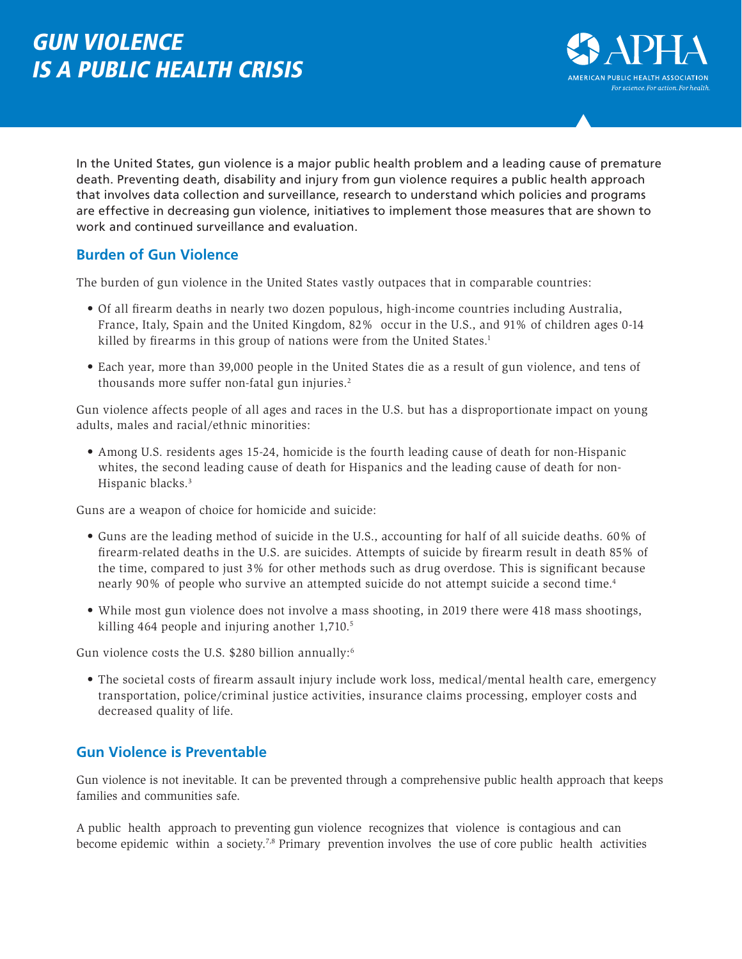# GUN VIOLENCE IS A PUBLIC HEALTH CRISIS



In the United States, gun violence is a major public health problem and a leading cause of premature death. Preventing death, disability and injury from gun violence requires a public health approach that involves data collection and surveillance, research to understand which policies and programs are effective in decreasing gun violence, initiatives to implement those measures that are shown to work and continued surveillance and evaluation.

## **Burden of Gun Violence**

The burden of gun violence in the United States vastly outpaces that in comparable countries:

- Of all firearm deaths in nearly two dozen populous, high-income countries including Australia, France, Italy, Spain and the United Kingdom, 82% occur in the U.S., and 91% of children ages 0-14 killed by firearms in this group of nations were from the United States.<sup>1</sup>
- Each year, more than 39,000 people in the United States die as a result of gun violence, and tens of thousands more suffer non-fatal gun injuries.2

Gun violence affects people of all ages and races in the U.S. but has a disproportionate impact on young adults, males and racial/ethnic minorities:

• Among U.S. residents ages 15-24, homicide is the fourth leading cause of death for non-Hispanic whites, the second leading cause of death for Hispanics and the leading cause of death for non-Hispanic blacks.<sup>3</sup>

Guns are a weapon of choice for homicide and suicide:

- Guns are the leading method of suicide in the U.S., accounting for half of all suicide deaths. 60% of firearm-related deaths in the U.S. are suicides. Attempts of suicide by firearm result in death 85% of the time, compared to just 3% for other methods such as drug overdose. This is significant because nearly 90% of people who survive an attempted suicide do not attempt suicide a second time.<sup>4</sup>
- While most gun violence does not involve a mass shooting, in 2019 there were 418 mass shootings, killing 464 people and injuring another 1,710.<sup>5</sup>

Gun violence costs the U.S. \$280 billion annually:<sup>6</sup>

• The societal costs of firearm assault injury include work loss, medical/mental health care, emergency transportation, police/criminal justice activities, insurance claims processing, employer costs and decreased quality of life.

## **Gun Violence is Preventable**

Gun violence is not inevitable. It can be prevented through a comprehensive public health approach that keeps families and communities safe.

A public health approach to preventing gun violence recognizes that violence is contagious and can become epidemic within a society.<sup>7,8</sup> Primary prevention involves the use of core public health activities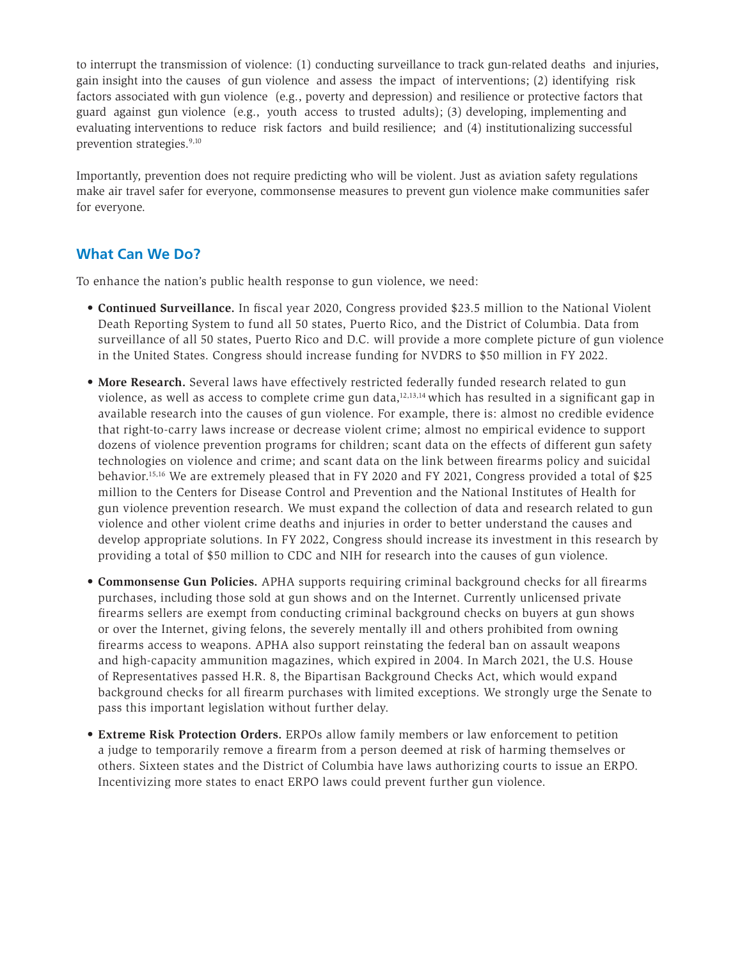to interrupt the transmission of violence: (1) conducting surveillance to track gun-related deaths and injuries, gain insight into the causes of gun violence and assess the impact of interventions; (2) identifying risk factors associated with gun violence (e.g., poverty and depression) and resilience or protective factors that guard against gun violence (e.g., youth access to trusted adults); (3) developing, implementing and evaluating interventions to reduce risk factors and build resilience; and (4) institutionalizing successful prevention strategies.<sup>9,10</sup>

Importantly, prevention does not require predicting who will be violent. Just as aviation safety regulations make air travel safer for everyone, commonsense measures to prevent gun violence make communities safer for everyone.

## **What Can We Do?**

To enhance the nation's public health response to gun violence, we need:

- **Continued Surveillance.** In fiscal year 2020, Congress provided \$23.5 million to the National Violent Death Reporting System to fund all 50 states, Puerto Rico, and the District of Columbia. Data from surveillance of all 50 states, Puerto Rico and D.C. will provide a more complete picture of gun violence in the United States. Congress should increase funding for NVDRS to \$50 million in FY 2022.
- More Research. Several laws have effectively restricted federally funded research related to gun violence, as well as access to complete crime gun data,<sup>12,13,14</sup> which has resulted in a significant gap in available research into the causes of gun violence. For example, there is: almost no credible evidence that right-to-carry laws increase or decrease violent crime; almost no empirical evidence to support dozens of violence prevention programs for children; scant data on the effects of different gun safety technologies on violence and crime; and scant data on the link between firearms policy and suicidal behavior.15,16 We are extremely pleased that in FY 2020 and FY 2021, Congress provided a total of \$25 million to the Centers for Disease Control and Prevention and the National Institutes of Health for gun violence prevention research. We must expand the collection of data and research related to gun violence and other violent crime deaths and injuries in order to better understand the causes and develop appropriate solutions. In FY 2022, Congress should increase its investment in this research by providing a total of \$50 million to CDC and NIH for research into the causes of gun violence.
- **Commonsense Gun Policies.** APHA supports requiring criminal background checks for all firearms purchases, including those sold at gun shows and on the Internet. Currently unlicensed private firearms sellers are exempt from conducting criminal background checks on buyers at gun shows or over the Internet, giving felons, the severely mentally ill and others prohibited from owning firearms access to weapons. APHA also support reinstating the federal ban on assault weapons and high-capacity ammunition magazines, which expired in 2004. In March 2021, the U.S. House of Representatives passed H.R. 8, the Bipartisan Background Checks Act, which would expand background checks for all firearm purchases with limited exceptions. We strongly urge the Senate to pass this important legislation without further delay.
- **Extreme Risk Protection Orders.** ERPOs allow family members or law enforcement to petition a judge to temporarily remove a firearm from a person deemed at risk of harming themselves or others. Sixteen states and the District of Columbia have laws authorizing courts to issue an ERPO. Incentivizing more states to enact ERPO laws could prevent further gun violence.